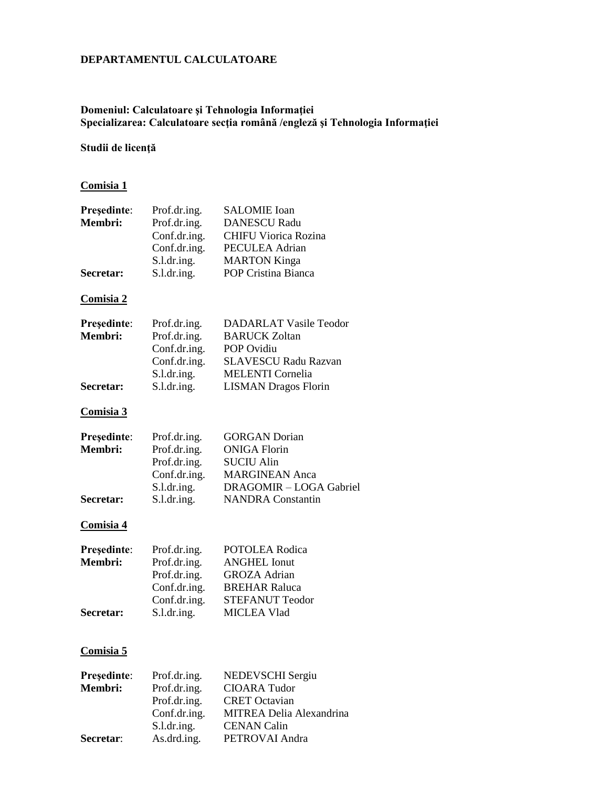#### **DEPARTAMENTUL CALCULATOARE**

## **Domeniul: Calculatoare şi Tehnologia Informaţiei Specializarea: Calculatoare secţia română /engleză şi Tehnologia Informaţiei**

## **Studii de licenţă**

## **Comisia 1**

| Președinte:<br>Membri:<br>Secretar: | Prof.dr.ing.<br>Prof.dr.ing.<br>Conf.dr.ing.<br>Conf.dr.ing.<br>S.l.dr.ing.                 | <b>SALOMIE</b> Ioan<br><b>DANESCU Radu</b><br><b>CHIFU Viorica Rozina</b><br>PECULEA Adrian<br><b>MARTON Kinga</b><br>POP Cristina Bianca |
|-------------------------------------|---------------------------------------------------------------------------------------------|-------------------------------------------------------------------------------------------------------------------------------------------|
|                                     | S.l.dr.ing.                                                                                 |                                                                                                                                           |
| <b>Comisia 2</b>                    |                                                                                             |                                                                                                                                           |
| Președinte:<br>Membri:              | Prof.dr.ing.<br>Prof.dr.ing.<br>Conf.dr.ing.<br>Conf.dr.ing.<br>S.l.dr.ing.                 | <b>DADARLAT Vasile Teodor</b><br><b>BARUCK Zoltan</b><br><b>POP Ovidiu</b><br><b>SLAVESCU Radu Razvan</b><br><b>MELENTI</b> Cornelia      |
| Secretar:                           | S.l.dr.ing.                                                                                 | <b>LISMAN Dragos Florin</b>                                                                                                               |
| <b>Comisia 3</b>                    |                                                                                             |                                                                                                                                           |
| Președinte:<br>Membri:              | Prof.dr.ing.<br>Prof.dr.ing.<br>Prof.dr.ing.<br>Conf.dr.ing.<br>S.l.dr.ing.                 | <b>GORGAN</b> Dorian<br><b>ONIGA Florin</b><br><b>SUCIU Alin</b><br><b>MARGINEAN</b> Anca<br>DRAGOMIR - LOGA Gabriel                      |
| Secretar:                           | S.l.dr.ing.                                                                                 | <b>NANDRA Constantin</b>                                                                                                                  |
| <b>Comisia 4</b>                    |                                                                                             |                                                                                                                                           |
| Președinte:<br>Membri:<br>Secretar: | Prof.dr.ing.<br>Prof.dr.ing.<br>Prof.dr.ing.<br>Conf.dr.ing.<br>Conf.dr.ing.<br>S.l.dr.ing. | POTOLEA Rodica<br><b>ANGHEL Ionut</b><br><b>GROZA</b> Adrian<br><b>BREHAR Raluca</b><br><b>STEFANUT Teodor</b><br><b>MICLEA Vlad</b>      |
|                                     |                                                                                             |                                                                                                                                           |
| Comisia 5                           |                                                                                             |                                                                                                                                           |
| Președinte:<br>Membri:              | Prof.dr.ing.<br>Prof.dr.ing.<br>Prof.dr.ing.<br>Conf.dr.ing.<br>S.l.dr.ing.                 | NEDEVSCHI Sergiu<br><b>CIOARA</b> Tudor<br><b>CRET</b> Octavian<br><b>MITREA Delia Alexandrina</b><br><b>CENAN Calin</b>                  |

**Secretar**: As.drd.ing. PETROVAI Andra